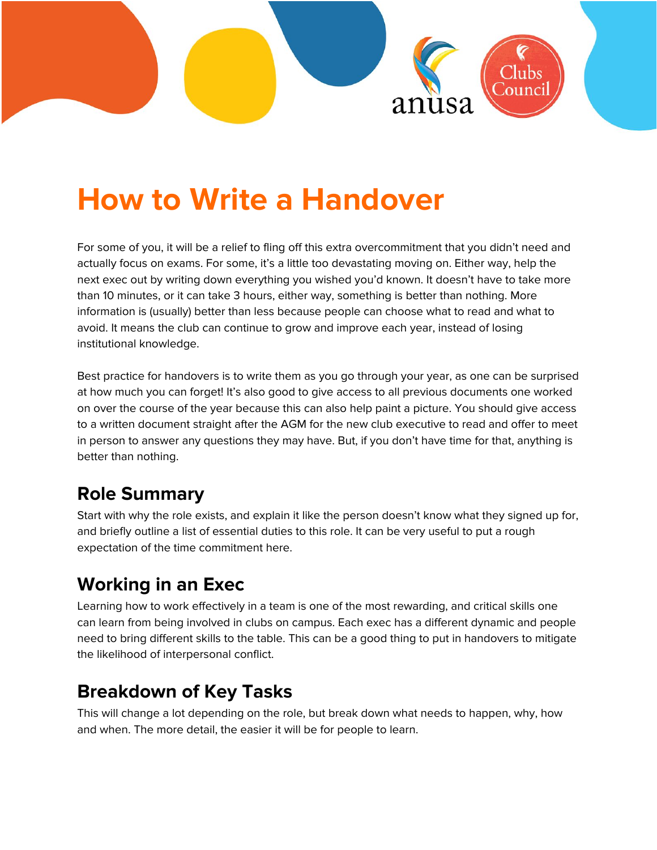

# **How to Write a Handover**

For some of you, it will be a relief to fling off this extra overcommitment that you didn't need and actually focus on exams. For some, it's a little too devastating moving on. Either way, help the next exec out by writing down everything you wished you'd known. It doesn't have to take more than 10 minutes, or it can take 3 hours, either way, something is better than nothing. More information is (usually) better than less because people can choose what to read and what to avoid. It means the club can continue to grow and improve each year, instead of losing institutional knowledge.

Best practice for handovers is to write them as you go through your year, as one can be surprised at how much you can forget! It's also good to give access to all previous documents one worked on over the course of the year because this can also help paint a picture. You should give access to a written document straight after the AGM for the new club executive to read and offer to meet in person to answer any questions they may have. But, if you don't have time for that, anything is better than nothing.

### **Role Summary**

Start with why the role exists, and explain it like the person doesn't know what they signed up for, and briefly outline a list of essential duties to this role. It can be very useful to put a rough expectation of the time commitment here.

## **Working in an Exec**

Learning how to work effectively in a team is one of the most rewarding, and critical skills one can learn from being involved in clubs on campus. Each exec has a different dynamic and people need to bring different skills to the table. This can be a good thing to put in handovers to mitigate the likelihood of interpersonal conflict.

#### **Breakdown of Key Tasks**

This will change a lot depending on the role, but break down what needs to happen, why, how and when. The more detail, the easier it will be for people to learn.